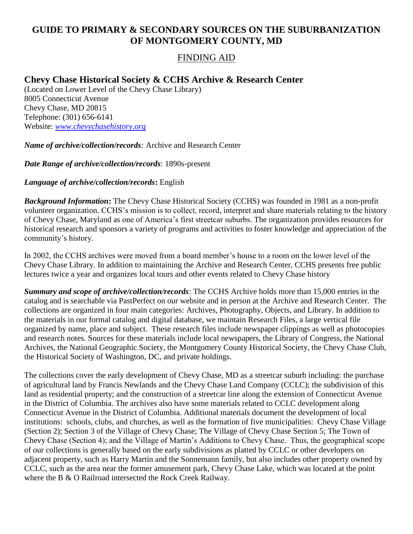## **GUIDE TO PRIMARY & SECONDARY SOURCES ON THE SUBURBANIZATION OF MONTGOMERY COUNTY, MD**

## FINDING AID

## **Chevy Chase Historical Society & CCHS Archive & Research Center**

(Located on Lower Level of the Chevy Chase Library) 8005 Connecticut Avenue Chevy Chase, MD 20815 Telephone: (301) 656-6141 Website: *[www.chevychasehistory.org](http://www.chevychasehistory.org/)*

*Name of archive/collection/records:* Archive and Research Center

*Date Range of archive/collection/records*: 1890s-present

*Language of archive/collection/records***:** English

*Background Information***:** The Chevy Chase Historical Society (CCHS) was founded in 1981 as a non-profit volunteer organization. CCHS's mission is to collect, record, interpret and share materials relating to the history of Chevy Chase, Maryland as one of America's first streetcar suburbs. The organization provides resources for historical research and sponsors a variety of programs and activities to foster knowledge and appreciation of the community's history.

In 2002, the CCHS archives were moved from a board member's house to a room on the lower level of the Chevy Chase Library. In addition to maintaining the Archive and Research Center, CCHS presents free public lectures twice a year and organizes local tours and other events related to Chevy Chase history

*Summary and scope of archive/collection/records*: The CCHS Archive holds more than 15,000 entries in the catalog and is searchable via PastPerfect on our website and in person at the Archive and Research Center. The collections are organized in four main categories: Archives, Photography, Objects, and Library. In addition to the materials in our formal catalog and digital database, we maintain Research Files, a large vertical file organized by name, place and subject. These research files include newspaper clippings as well as photocopies and research notes. Sources for these materials include local newspapers, the Library of Congress, the National Archives, the National Geographic Society, the Montgomery County Historical Society, the Chevy Chase Club, the Historical Society of Washington, DC, and private holdings.

The collections cover the early development of Chevy Chase, MD as a streetcar suburb including: the purchase of agricultural land by Francis Newlands and the Chevy Chase Land Company (CCLC); the subdivision of this land as residential property; and the construction of a streetcar line along the extension of Connecticut Avenue in the District of Columbia. The archives also have some materials related to CCLC development along Connecticut Avenue in the District of Columbia. Additional materials document the development of local institutions: schools, clubs, and churches, as well as the formation of five municipalities: Chevy Chase Village (Section 2); Section 3 of the Village of Chevy Chase; The Village of Chevy Chase Section 5; The Town of Chevy Chase (Section 4); and the Village of Martin's Additions to Chevy Chase. Thus, the geographical scope of our collections is generally based on the early subdivisions as platted by CCLC or other developers on adjacent property, such as Harry Martin and the Sonnemann family, but also includes other property owned by CCLC, such as the area near the former amusement park, Chevy Chase Lake, which was located at the point where the B & O Railroad intersected the Rock Creek Railway.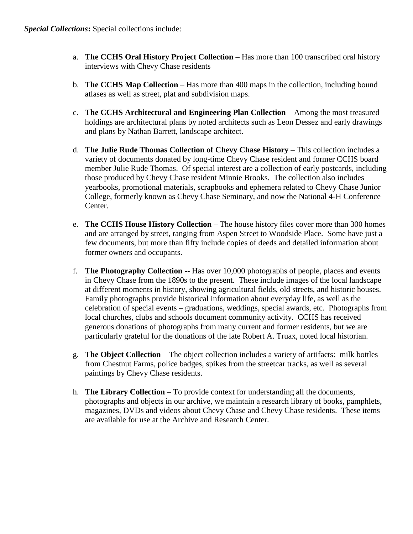- a. **The CCHS Oral History Project Collection** Has more than 100 transcribed oral history interviews with Chevy Chase residents
- b. **The CCHS Map Collection** Has more than 400 maps in the collection, including bound atlases as well as street, plat and subdivision maps.
- c. **The CCHS Architectural and Engineering Plan Collection** Among the most treasured holdings are architectural plans by noted architects such as Leon Dessez and early drawings and plans by Nathan Barrett, landscape architect.
- d. **The Julie Rude Thomas Collection of Chevy Chase History** This collection includes a variety of documents donated by long-time Chevy Chase resident and former CCHS board member Julie Rude Thomas. Of special interest are a collection of early postcards, including those produced by Chevy Chase resident Minnie Brooks. The collection also includes yearbooks, promotional materials, scrapbooks and ephemera related to Chevy Chase Junior College, formerly known as Chevy Chase Seminary, and now the National 4-H Conference Center.
- e. **The CCHS House History Collection** The house history files cover more than 300 homes and are arranged by street, ranging from Aspen Street to Woodside Place. Some have just a few documents, but more than fifty include copies of deeds and detailed information about former owners and occupants.
- f. **The Photography Collection** -- Has over 10,000 photographs of people, places and events in Chevy Chase from the 1890s to the present. These include images of the local landscape at different moments in history, showing agricultural fields, old streets, and historic houses. Family photographs provide historical information about everyday life, as well as the celebration of special events – graduations, weddings, special awards, etc. Photographs from local churches, clubs and schools document community activity. CCHS has received generous donations of photographs from many current and former residents, but we are particularly grateful for the donations of the late Robert A. Truax, noted local historian.
- g. **The Object Collection** The object collection includes a variety of artifacts: milk bottles from Chestnut Farms, police badges, spikes from the streetcar tracks, as well as several paintings by Chevy Chase residents.
- h. **The Library Collection** To provide context for understanding all the documents, photographs and objects in our archive, we maintain a research library of books, pamphlets, magazines, DVDs and videos about Chevy Chase and Chevy Chase residents. These items are available for use at the Archive and Research Center.